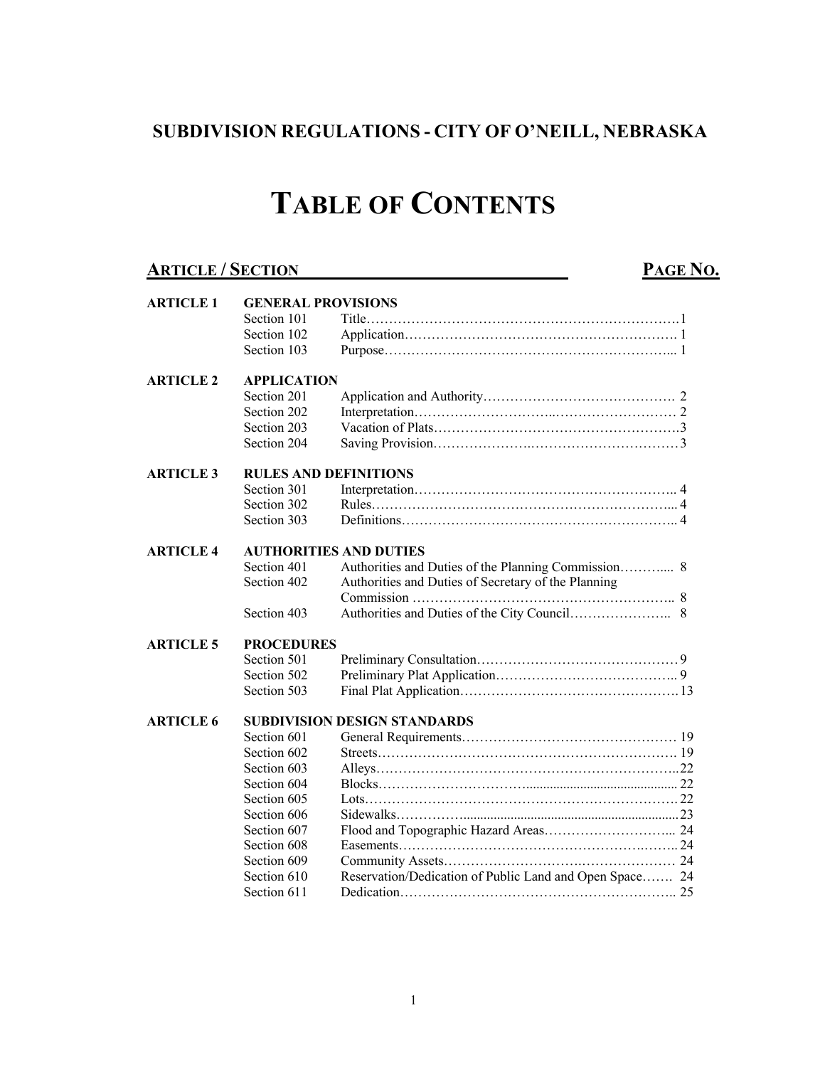## **SUBDIVISION REGULATIONS - CITY OF O'NEILL, NEBRASKA**

# **TABLE OF CONTENTS**

### **ARTICLE / SECTION PAGE NO.**

| <b>ARTICLE 1</b> | <b>GENERAL PROVISIONS</b>    |                                                         |  |  |
|------------------|------------------------------|---------------------------------------------------------|--|--|
|                  | Section 101                  |                                                         |  |  |
|                  | Section 102                  |                                                         |  |  |
|                  | Section 103                  |                                                         |  |  |
|                  |                              |                                                         |  |  |
| <b>ARTICLE 2</b> | <b>APPLICATION</b>           |                                                         |  |  |
|                  | Section 201                  |                                                         |  |  |
|                  | Section 202                  |                                                         |  |  |
|                  | Section 203                  |                                                         |  |  |
|                  | Section 204                  |                                                         |  |  |
| <b>ARTICLE 3</b> | <b>RULES AND DEFINITIONS</b> |                                                         |  |  |
|                  | Section 301                  |                                                         |  |  |
|                  | Section 302                  |                                                         |  |  |
|                  | Section 303                  |                                                         |  |  |
|                  |                              |                                                         |  |  |
| <b>ARTICLE 4</b> |                              | <b>AUTHORITIES AND DUTIES</b>                           |  |  |
|                  | Section 401                  |                                                         |  |  |
|                  | Section 402                  | Authorities and Duties of Secretary of the Planning     |  |  |
|                  |                              |                                                         |  |  |
|                  | Section 403                  |                                                         |  |  |
| <b>ARTICLE 5</b> | <b>PROCEDURES</b>            |                                                         |  |  |
|                  | Section 501                  |                                                         |  |  |
|                  | Section 502                  |                                                         |  |  |
|                  | Section 503                  |                                                         |  |  |
| <b>ARTICLE 6</b> |                              | <b>SUBDIVISION DESIGN STANDARDS</b>                     |  |  |
|                  | Section 601                  |                                                         |  |  |
|                  | Section 602                  |                                                         |  |  |
|                  | Section 603                  |                                                         |  |  |
|                  | Section 604                  |                                                         |  |  |
|                  | Section 605                  |                                                         |  |  |
|                  | Section 606                  |                                                         |  |  |
|                  | Section 607                  |                                                         |  |  |
|                  | Section 608                  |                                                         |  |  |
|                  | Section 609                  |                                                         |  |  |
|                  | Section 610                  | Reservation/Dedication of Public Land and Open Space 24 |  |  |
|                  | Section 611                  |                                                         |  |  |